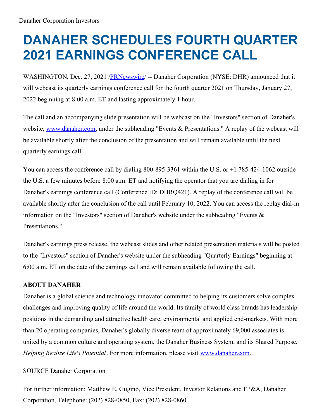## **DANAHER SCHEDULES FOURTH QUARTER 2021 EARNINGS CONFERENCE CALL**

WASHINGTON, Dec. 27, 2021 [/PRNewswire](http://www.prnewswire.com/)/ -- Danaher Corporation (NYSE: DHR) announced that it will webcast its quarterly earnings conference call for the fourth quarter 2021 on Thursday, January 27, 2022 beginning at 8:00 a.m. ET and lasting approximately 1 hour.

The call and an accompanying slide presentation will be webcast on the "Investors" section of Danaher's website, [www.danaher.com](https://c212.net/c/link/?t=0&l=en&o=3398560-1&h=1860534268&u=http%3A%2F%2Fwww.danaher.com%2F&a=www.danaher.com), under the subheading "Events & Presentations." A replay of the webcast will be available shortly after the conclusion of the presentation and will remain available until the next quarterly earnings call.

You can access the conference call by dialing 800-895-3361 within the U.S. or  $+1$  785-424-1062 outside the U.S. a few minutes before 8:00 a.m. ET and notifying the operator that you are dialing in for Danaher's earnings conference call (Conference ID: DHRQ421). A replay of the conference call will be available shortly after the conclusion of the call until February 10, 2022. You can access the replay dial-in information on the "Investors" section of Danaher's website under the subheading "Events & Presentations."

Danaher's earnings press release, the webcast slides and other related presentation materials will be posted to the "Investors" section of Danaher's website under the subheading "Quarterly Earnings" beginning at 6:00 a.m. ET on the date of the earnings call and will remain available following the call.

## **ABOUT DANAHER**

Danaher is a global science and technology innovator committed to helping its customers solve complex challenges and improving quality of life around the world. Its family of world class brands has leadership positions in the demanding and attractive health care, environmental and applied end-markets. With more than 20 operating companies, Danaher's globally diverse team of approximately 69,000 associates is united by a common culture and operating system, the Danaher Business System, and its Shared Purpose, *Helping Realize Life's Potential*. For more information, please visit [www.danaher.com](https://c212.net/c/link/?t=0&l=en&o=3398560-1&h=1860534268&u=http%3A%2F%2Fwww.danaher.com%2F&a=www.danaher.com).

## SOURCE Danaher Corporation

For further information: Matthew E. Gugino, Vice President, Investor Relations and FP&A, Danaher Corporation, Telephone: (202) 828-0850, Fax: (202) 828-0860